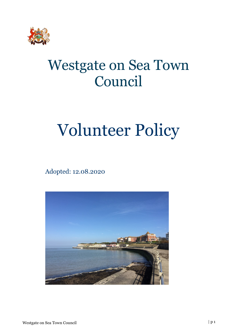

## Westgate on Sea Town Council

# Volunteer Policy

Adopted: 12.08.2020

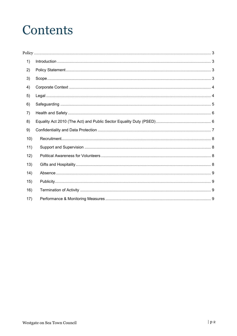## Contents

| 1)   |  |
|------|--|
| 2)   |  |
| 3)   |  |
| 4)   |  |
| 5)   |  |
| 6)   |  |
| 7)   |  |
| 8)   |  |
|      |  |
| 9)   |  |
| 10)  |  |
| 11)  |  |
| 12)  |  |
| 13)  |  |
| (14) |  |
| 15)  |  |
| 16)  |  |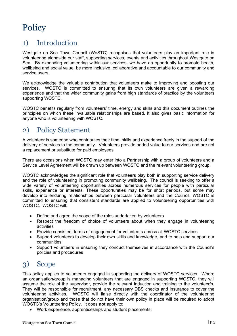## <span id="page-2-0"></span>**Policy**

### <span id="page-2-1"></span>1) Introduction

Westgate on Sea Town Council (WoSTC) recognises that volunteers play an important role in volunteering alongside our staff, supporting services, events and activities throughout Westgate on Sea. By expanding volunteering within our services, we have an opportunity to promote health, wellbeing and social value, be more inclusive, collaborative and accountable to our community and service users.

We acknowledge the valuable contribution that volunteers make to improving and boosting our services. WOSTC is committed to ensuring that its own volunteers are given a rewarding experience and that the wider community gains from high standards of practice by the volunteers supporting WOSTC.

WOSTC benefits regularly from volunteers' time, energy and skills and this document outlines the principles on which these invaluable relationships are based. It also gives basic information for anyone who is volunteering with WOSTC.

#### <span id="page-2-2"></span>2) Policy Statement

A volunteer is someone who contributes their time, skills and experience freely in the support of the delivery of services to the community. Volunteers provide added value to our services and are not a replacement or substitute for paid employees.

There are occasions when WOSTC may enter into a Partnership with a group of volunteers and a Service Level Agreement will be drawn up between WOSTC and the relevant volunteering group.

WOSTC acknowledges the significant role that volunteers play both in supporting service delivery and the role of volunteering in promoting community wellbeing. The council is seeking to offer a wide variety of volunteering opportunities across numerous services for people with particular skills, experience or interests. These opportunities may be for short periods, but some may develop into enduring relationships between particular volunteers and the Council. WOSTC is committed to ensuring that consistent standards are applied to volunteering opportunities with WOSTC. WOSTC will:

- Define and agree the scope of the roles undertaken by volunteers
- Respect the freedom of choice of volunteers about when they engage in volunteering activities
- Provide consistent terms of engagement for volunteers across all WOSTC services
- Support volunteers to develop their own skills and knowledge, and to help and support our communities
- Support volunteers in ensuring they conduct themselves in accordance with the Council's policies and procedures

#### <span id="page-2-3"></span>3) Scope

This policy applies to volunteers engaged in supporting the delivery of WOSTC services. Where an organisation/group is managing volunteers that are engaged in supporting WOSTC, they will assume the role of the supervisor, provide the relevant induction and training to the volunteer/s. They will be responsible for recruitment, any necessary DBS checks and insurance to cover the volunteering activities. WOSTC will liaise directly with the coordinator of the volunteering organisation/group and those that do not have their own policy in place will be required to adopt WOSTC's Volunteering Policy. It does **not** apply to:

• Work experience, apprenticeships and student placements;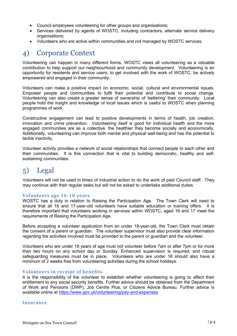- Council employees volunteering for other groups and organisations;
- Services delivered by agents of WOSTC, including contractors, alternate service delivery organisations;
- Volunteers who are active within communities and not managed by WOSTC services.

#### <span id="page-3-0"></span>4) Corporate Context

Volunteering can happen in many different forms, WOSTC views all volunteering as a valuable contribution to help support our neighbourhood and community development. Volunteering is an opportunity for residents and service users; to get involved with the work of WOSTC, be actively empowered and engaged in their community.

Volunteers can make a positive impact on economic, social, cultural and environmental issues. Empower people and communities to fulfil their potential and contribute to social change. Volunteering can also create a greater sense of ownership of 'bettering' their community. Local people hold the insight and knowledge of local issues which is useful to WOSTC when planning programmes of work.

Constructive engagement can lead to positive developments in terms of health, job creation, innovation and crime prevention. Volunteering itself is good for individual health and the more engaged communities are as a collective, the healthier they become socially and economically. Additionally, volunteering can improve both mental and physical well-being and has the potential to tackle inactivity.

Volunteer activity provides a network of social relationships that connect people to each other and their communities. It is this connection that is vital to building democratic, healthy and selfsustaining communities.

#### <span id="page-3-1"></span>5) Legal

Volunteers will not be used in times of industrial action to do the work of paid Council staff. They may continue with their regular tasks but will not be asked to undertake additional duties.

#### **Volunteers age 16-18 years**

WOSTC has a duty in relation to Raising the Participation Age. The Town Clerk will need to ensure that all 16 and 17-year-old volunteers have suitable education or training offers. It is therefore important that volunteers working in services within WOSTC, aged 16 and 17 meet the requirements of Raising the Participation Age.

Before accepting a volunteer application from an under 18-year-old, the Town Clerk must obtain the consent of a parent or guardian. The volunteer supervisor must also provide clear information regarding the activities involved must be provided to the parent or guardian and the volunteer.

Volunteers who are under 18 years of age must not volunteer before 7am or after 7pm or for more than two hours on any school day or Sunday. Enhanced supervision is required, and robust safeguarding measures must be in place. Volunteers who are under 18 should also have a minimum of 2 weeks free from volunteering activities during the school holidays.

#### **Volunteers in receipt of benefits**

It is the responsibility of the volunteer to establish whether volunteering is going to affect their entitlement to any social security benefits. Further advice should be obtained from the Department of Work and Pensions (DWP), Job Centre Plus, or Citizens Advice Bureau. Further advice is available online at<https://www.gov.uk/volunteering/pay-and-expenses>

#### **Insurance**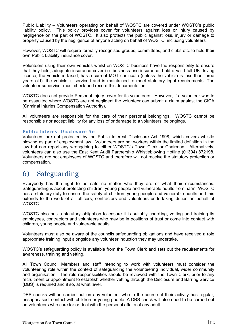Public Liability – Volunteers operating on behalf of WOSTC are covered under WOSTC's public liability policy. This policy provides cover for volunteers against loss or injury caused by negligence on the part of WOSTC. It also protects the public against loss, injury or damage to property caused by the negligence of anyone acting on behalf of WOSTC, including volunteers.

However, WOSTC will require formally recognised groups, committees, and clubs etc. to hold their own Public Liability insurance cover.

Volunteers using their own vehicles whilst on WOSTC business have the responsibility to ensure that they hold; adequate insurance cover i.e. business use insurance, hold a valid full UK driving licence, the vehicle is taxed, has a current MOT certificate (unless the vehicle is less than three years old), the vehicle is serviced and is maintained to meet statutory legal requirements. The volunteer supervisor must check and record this documentation.

WOSTC does not provide Personal Injury cover for its volunteers. However, if a volunteer was to be assaulted where WOSTC are not negligent the volunteer can submit a claim against the CICA (Criminal Injuries Compensation Authority).

All volunteers are responsible for the care of their personal belongings. WOSTC cannot be responsible nor accept liability for any loss of or damage to a volunteers' belongings.

#### **Public Interest Disclosure Act**

Volunteers are not protected by the Public Interest Disclosure Act 1998, which covers whistle blowing as part of employment law. Volunteers are not workers within the limited definition in the law but can report any wrongdoing to either WOSTC's Town Clerk or Chairman. Alternatively, volunteers can also use the East Kent Audit Partnership Whistleblowing Hotline (01304) 872198. Volunteers are not employees of WOSTC and therefore will not receive the statutory protection or compensation.

#### <span id="page-4-0"></span>6) Safeguarding

Everybody has the right to be safe no matter who they are or what their circumstances. Safeguarding is about protecting children, young people and vulnerable adults from harm. WOSTC has a statutory duty to ensure the safety of children, young people and vulnerable adults and this extends to the work of all officers, contractors and volunteers undertaking duties on behalf of WOSTC

WOSTC also has a statutory obligation to ensure it is suitably checking, vetting and training its employees, contractors and volunteers who may be in positions of trust or come into contact with children, young people and vulnerable adults.

Volunteers must also be aware of the councils safeguarding obligations and have received a role appropriate training input alongside any volunteer induction they may undertake.

WOSTC's safeguarding policy is available from the Town Clerk and sets out the requirements for awareness, training and vetting.

All Town Council Members and staff intending to work with volunteers must consider the volunteering role within the context of safeguarding the volunteering individual, wider community and organisation. The role responsibilities should be reviewed with the Town Clerk, prior to any recruitment or appointment to establish whether vetting through the Disclosure and Barring Service (DBS) is required and if so, at what level.

DBS checks will be carried out on any volunteer who in the course of their activity has regular, unsupervised, contact with children or young people. A DBS check will also need to be carried out on volunteers who care for or deal with the personal affairs of any adult.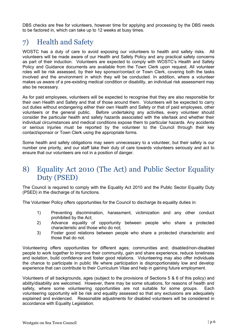DBS checks are free for volunteers, however time for applying and processing by the DBS needs to be factored in, which can take up to 12 weeks at busy times.

## <span id="page-5-0"></span>7) Health and Safety

WOSTC has a duty of care to avoid exposing our volunteers to health and safety risks. All volunteers will be made aware of our Health and Safety Policy and any practical safety concerns as part of their induction. Volunteers are expected to comply with WOSTC's Health and Safety Policy and Guidance documents are available from the Town Clerk upon request. All volunteer roles will be risk assessed, by their key sponsor/contact or Town Clerk, covering both the tasks involved and the environment in which they will be conducted. In addition, where a volunteer makes us aware of a pre-existing medical condition or disability, an individual risk assessment may also be necessary.

As for paid employees, volunteers will be expected to recognise that they are also responsible for their own Health and Safety and that of those around them. Volunteers will be expected to carry out duties without endangering either their own Health and Safety or that of paid employees, other volunteers or the general public. Before undertaking any activities, every volunteer should consider the particular health and safety hazards associated with the site/task and whether their individual circumstances and medical conditions expose them to particular hazards. Any accidents or serious injuries must be reported by the volunteer to the Council through their key contact/sponsor or Town Clerk using the appropriate forms.

Some health and safety obligations may seem unnecessary to a volunteer, but their safety is our number one priority, and our staff take their duty of care towards volunteers seriously and act to ensure that our volunteers are not in a position of danger.

#### <span id="page-5-1"></span>8) Equality Act 2010 (The Act) and Public Sector Equality Duty (PSED)

The Council is required to comply with the Equality Act 2010 and the Public Sector Equality Duty (PSED) in the discharge of its functions.

The Volunteer Policy offers opportunities for the Council to discharge its equality duties in:

- 1) Preventing discrimination, harassment, victimization and any other conduct prohibited by the Act;
- 2) Advance equality of opportunity between people who share a protected characteristic and those who do not;
- 3) Foster good relations between people who share a protected characteristic and those that do not.

Volunteering offers opportunities for different ages; communities and; disabled/non-disabled people to work together to improve their community, gain and share experience, reduce loneliness and isolation, build confidence and foster good relations. Volunteering may also offer individuals the chance to participate in public life where participation is disproportionately low and develop experience that can contribute to their Curriculum Vitae and help in gaining future employment.

Volunteers of all backgrounds, ages (subject to the provisions of Sections 5 & 6 of this policy) and ability/disability are welcomed. However, there may be some situations, for reasons of health and safety, where some volunteering opportunities are not suitable for some groups. Each volunteering opportunity will be risk and equality assessed so that any exclusions are adequately explained and evidenced. Reasonable adjustments for disabled volunteers will be considered in accordance with Equality Legislation.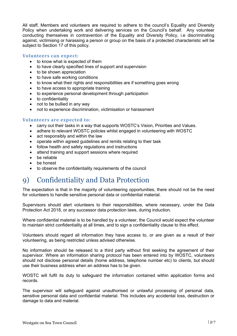All staff, Members and volunteers are required to adhere to the council's Equality and Diversity Policy when undertaking work and delivering services on the Council's behalf. Any volunteer conducting themselves in contravention of the Equality and Diversity Policy, i.e discriminating against, victimising or harassing a person or group on the basis of a protected characteristic will be subject to Section 17 of this policy.

#### **Volunteers can expect:**

- to know what is expected of them
- to have clearly specified lines of support and supervision
- to be shown appreciation
- to have safe working conditions
- to know what their rights and responsibilities are if something goes wrong
- to have access to appropriate training
- to experience personal development through participation
- to confidentiality
- not to be bullied in any way
- not to experience discrimination, victimisation or harassment

#### **Volunteers are expected to:**

- carry out their tasks in a way that supports WOSTC's Vision, Priorities and Values.
- adhere to relevant WOSTC policies whilst engaged in volunteering with WOSTC
- act responsibly and within the law
- operate within agreed guidelines and remits relating to their task
- follow health and safety regulations and instructions
- attend training and support sessions where required
- be reliable
- be honest
- <span id="page-6-0"></span>• to observe the confidentiality requirements of the council

#### 9) Confidentiality and Data Protection

The expectation is that in the majority of volunteering opportunities, there should not be the need for volunteers to handle sensitive personal data or confidential material.

Supervisors should alert volunteers to their responsibilities, where necessary, under the Data Protection Act 2018, or any successor data protection laws, during induction.

Where confidential material is to be handled by a volunteer, the Council would expect the volunteer to maintain strict confidentiality at all times, and to sign a confidentiality clause to this effect.

Volunteers should regard all information they have access to, or are given as a result of their volunteering, as being restricted unless advised otherwise.

No information should be released to a third party without first seeking the agreement of their supervisor. Where an information sharing protocol has been entered into by WOSTC, volunteers should not disclose personal details (home address, telephone number etc) to clients, but should use their business address when an address has to be given.

WOSTC will fulfil its duty to safeguard the information contained within application forms and records.

The supervisor will safeguard against unauthorised or unlawful processing of personal data, sensitive personal data and confidential material. This includes any accidental loss, destruction or damage to data and material.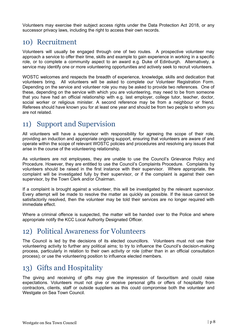Volunteers may exercise their subject access rights under the Data Protection Act 2018, or any successor privacy laws, including the right to access their own records.

#### <span id="page-7-0"></span>10) Recruitment

Volunteers will usually be engaged through one of two routes. A prospective volunteer may approach a service to offer their time, skills and example to gain experience in working in a specific role, or to complete a community aspect to an award e.g. Duke of Edinburgh. Alternatively, a service may identify one or more volunteering opportunities and actively seek to recruit volunteers.

WOSTC welcomes and respects the breadth of experience, knowledge, skills and dedication that volunteers bring. All volunteers will be asked to complete our Volunteer Registration Form. Depending on the service and volunteer role you may be asked to provide two references. One of these, depending on the service with which you are volunteering, may need to be from someone that you have had an official relationship with e.g. last employer, college tutor, teacher, doctor, social worker or religious minister. A second reference may be from a neighbour or friend. Referees should have known you for at least one year and should be from two people to whom you are not related.

#### <span id="page-7-1"></span>11) Support and Supervision

All volunteers will have a supervisor with responsibility for agreeing the scope of their role, providing an induction and appropriate ongoing support, ensuring that volunteers are aware of and operate within the scope of relevant WOSTC policies and procedures and resolving any issues that arise in the course of the volunteering relationship.

As volunteers are not employees, they are unable to use the Council's Grievance Policy and Procedure. However, they are entitled to use the Council's Complaints Procedure. Complaints by volunteers should be raised in the first instance with their supervisor. Where appropriate, the complaint will be investigated fully by their supervisor, or if the complaint is against their own supervisor, by the Town Clerk and/or Chairman.

If a complaint is brought against a volunteer, this will be investigated by the relevant supervisor. Every attempt will be made to resolve the matter as quickly as possible. If the issue cannot be satisfactorily resolved, then the volunteer may be told their services are no longer required with immediate effect.

Where a criminal offence is suspected, the matter will be handed over to the Police and where appropriate notify the KCC Local Authority Designated Officer.

#### <span id="page-7-2"></span>12) Political Awareness for Volunteers

The Council is led by the decisions of its elected councillors. Volunteers must not use their volunteering activity to further any political aims; to try to influence the Council's decision-making process, particularly in relation to their own activity or role (other than in an official consultation process); or use the volunteering position to influence elected members.

#### <span id="page-7-3"></span>13) Gifts and Hospitality

The giving and receiving of gifts may give the impression of favouritism and could raise expectations. Volunteers must not give or receive personal gifts or offers of hospitality from contractors, clients, staff or outside suppliers as this could compromise both the volunteer and Westgate on Sea Town Council.